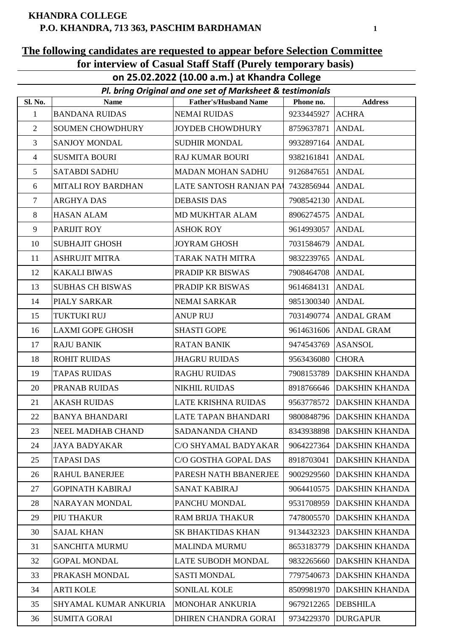#### **KHANDRA COLLEGE P.O. KHANDRA, 713 363, PASCHIM BARDHAMAN**

### **The following candidates are requested to appear before Selection Committee for interview of Casual Staff Staff (Purely temporary basis)**

**on 25.02.2022 (10.00 a.m.) at Khandra College**

|                | Pl. bring Original and one set of Marksheet & testimonials |                              |                  |                           |  |
|----------------|------------------------------------------------------------|------------------------------|------------------|---------------------------|--|
| <b>Sl. No.</b> | <b>Name</b>                                                | <b>Father's/Husband Name</b> | Phone no.        | <b>Address</b>            |  |
| 1              | <b>BANDANA RUIDAS</b>                                      | <b>NEMAI RUIDAS</b>          | 9233445927 ACHRA |                           |  |
| $\overline{2}$ | <b>SOUMEN CHOWDHURY</b>                                    | JOYDEB CHOWDHURY             | 8759637871       | <b>ANDAL</b>              |  |
| $\overline{3}$ | SANJOY MONDAL                                              | <b>SUDHIR MONDAL</b>         | 9932897164 ANDAL |                           |  |
| $\overline{4}$ | <b>SUSMITA BOURI</b>                                       | <b>RAJ KUMAR BOURI</b>       | 9382161841       | <b>ANDAL</b>              |  |
| 5              | <b>SATABDI SADHU</b>                                       | <b>MADAN MOHAN SADHU</b>     | 9126847651       | <b>ANDAL</b>              |  |
| 6              | MITALI ROY BARDHAN                                         | LATE SANTOSH RANJAN PAI      | 7432856944 ANDAL |                           |  |
| 7              | <b>ARGHYA DAS</b>                                          | <b>DEBASIS DAS</b>           | 7908542130       | <b>ANDAL</b>              |  |
| 8              | <b>HASAN ALAM</b>                                          | MD MUKHTAR ALAM              | 8906274575       | <b>ANDAL</b>              |  |
| 9              | PARIJIT ROY                                                | <b>ASHOK ROY</b>             | 9614993057 ANDAL |                           |  |
| 10             | <b>SUBHAJIT GHOSH</b>                                      | <b>JOYRAM GHOSH</b>          | 7031584679       | <b>ANDAL</b>              |  |
| 11             | <b>ASHRUJIT MITRA</b>                                      | TARAK NATH MITRA             | 9832239765 ANDAL |                           |  |
| 12             | <b>KAKALI BIWAS</b>                                        | PRADIP KR BISWAS             | 7908464708       | <b>ANDAL</b>              |  |
| 13             | <b>SUBHAS CH BISWAS</b>                                    | PRADIP KR BISWAS             | 9614684131       | <b>ANDAL</b>              |  |
| 14             | PIALY SARKAR                                               | NEMAI SARKAR                 | 9851300340 ANDAL |                           |  |
| 15             | TUKTUKI RUJ                                                | <b>ANUP RUJ</b>              |                  | 7031490774 ANDAL GRAM     |  |
| 16             | <b>LAXMI GOPE GHOSH</b>                                    | <b>SHASTI GOPE</b>           |                  | 9614631606 ANDAL GRAM     |  |
| 17             | <b>RAJU BANIK</b>                                          | <b>RATAN BANIK</b>           | 9474543769       | <b>ASANSOL</b>            |  |
| 18             | <b>ROHIT RUIDAS</b>                                        | <b>JHAGRU RUIDAS</b>         | 9563436080       | <b>CHORA</b>              |  |
| 19             | <b>TAPAS RUIDAS</b>                                        | <b>RAGHU RUIDAS</b>          | 7908153789       | <b>DAKSHIN KHANDA</b>     |  |
| 20             | PRANAB RUIDAS                                              | <b>NIKHIL RUIDAS</b>         |                  | 8918766646 DAKSHIN KHANDA |  |
| 21             | <b>AKASH RUIDAS</b>                                        | LATE KRISHNA RUIDAS          |                  | 9563778572 DAKSHIN KHANDA |  |
| 22             | <b>BANYA BHANDARI</b>                                      | LATE TAPAN BHANDARI          |                  | 9800848796 DAKSHIN KHANDA |  |
| 23             | NEEL MADHAB CHAND                                          | <b>SADANANDA CHAND</b>       | 8343938898       | <b>DAKSHIN KHANDA</b>     |  |
| 24             | <b>JAYA BADYAKAR</b>                                       | C/O SHYAMAL BADYAKAR         | 9064227364       | <b>DAKSHIN KHANDA</b>     |  |
| 25             | <b>TAPASI DAS</b>                                          | C/O GOSTHA GOPAL DAS         | 8918703041       | <b>DAKSHIN KHANDA</b>     |  |
| 26             | <b>RAHUL BANERJEE</b>                                      | PARESH NATH BBANERJEE        | 9002929560       | <b>DAKSHIN KHANDA</b>     |  |
| 27             | <b>GOPINATH KABIRAJ</b>                                    | <b>SANAT KABIRAJ</b>         | 9064410575       | <b>DAKSHIN KHANDA</b>     |  |
| 28             | NARAYAN MONDAL                                             | PANCHU MONDAL                | 9531708959       | <b>DAKSHIN KHANDA</b>     |  |
| 29             | PIU THAKUR                                                 | <b>RAM BRIJA THAKUR</b>      | 7478005570       | <b>DAKSHIN KHANDA</b>     |  |
| 30             | <b>SAJAL KHAN</b>                                          | <b>SK BHAKTIDAS KHAN</b>     | 9134432323       | DAKSHIN KHANDA            |  |
| 31             | <b>SANCHITA MURMU</b>                                      | <b>MALINDA MURMU</b>         | 8653183779       | <b>DAKSHIN KHANDA</b>     |  |
| 32             | <b>GOPAL MONDAL</b>                                        | <b>LATE SUBODH MONDAL</b>    | 9832265660       | <b>DAKSHIN KHANDA</b>     |  |
| 33             | PRAKASH MONDAL                                             | <b>SASTI MONDAL</b>          | 7797540673       | DAKSHIN KHANDA            |  |
| 34             | <b>ARTI KOLE</b>                                           | <b>SONILAL KOLE</b>          | 8509981970       | <b>DAKSHIN KHANDA</b>     |  |
| 35             | SHYAMAL KUMAR ANKURIA                                      | <b>MONOHAR ANKURIA</b>       | 9679212265       | <b>DEBSHILA</b>           |  |
| 36             | <b>SUMITA GORAI</b>                                        | DHIREN CHANDRA GORAI         | 9734229370       | <b>DURGAPUR</b>           |  |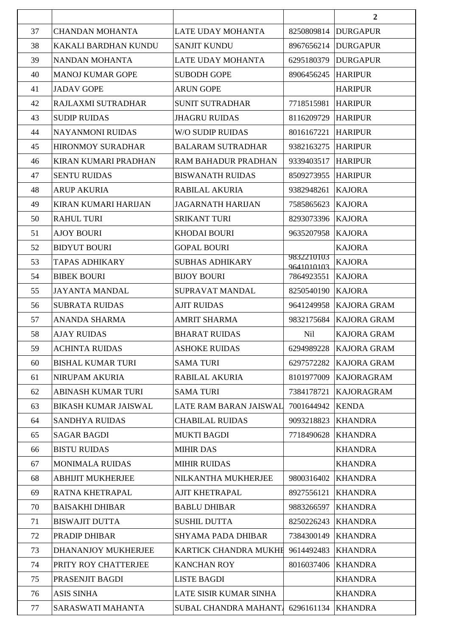|    |                             |                           |                          | $\overline{2}$         |
|----|-----------------------------|---------------------------|--------------------------|------------------------|
| 37 | <b>CHANDAN MOHANTA</b>      | LATE UDAY MOHANTA         | 8250809814               | <b>DURGAPUR</b>        |
| 38 | KAKALI BARDHAN KUNDU        | <b>SANJIT KUNDU</b>       | 8967656214               | <b>DURGAPUR</b>        |
| 39 | NANDAN MOHANTA              | LATE UDAY MOHANTA         | 6295180379               | <b>DURGAPUR</b>        |
| 40 | <b>MANOJ KUMAR GOPE</b>     | <b>SUBODH GOPE</b>        | 8906456245               | <b>HARIPUR</b>         |
| 41 | <b>JADAV GOPE</b>           | <b>ARUN GOPE</b>          |                          | <b>HARIPUR</b>         |
| 42 | RAJLAXMI SUTRADHAR          | <b>SUNIT SUTRADHAR</b>    | 7718515981               | <b>HARIPUR</b>         |
| 43 | <b>SUDIP RUIDAS</b>         | <b>JHAGRU RUIDAS</b>      | 8116209729               | <b>HARIPUR</b>         |
| 44 | <b>NAYANMONI RUIDAS</b>     | W/O SUDIP RUIDAS          | 8016167221               | <b>HARIPUR</b>         |
| 45 | <b>HIRONMOY SURADHAR</b>    | <b>BALARAM SUTRADHAR</b>  | 9382163275               | <b>HARIPUR</b>         |
| 46 | KIRAN KUMARI PRADHAN        | RAM BAHADUR PRADHAN       | 9339403517               | <b>HARIPUR</b>         |
| 47 | <b>SENTU RUIDAS</b>         | <b>BISWANATH RUIDAS</b>   | 8509273955               | <b>HARIPUR</b>         |
| 48 | <b>ARUP AKURIA</b>          | RABILAL AKURIA            | 9382948261               | <b>KAJORA</b>          |
| 49 | KIRAN KUMARI HARIJAN        | <b>JAGARNATH HARIJAN</b>  | 7585865623               | <b>KAJORA</b>          |
| 50 | <b>RAHUL TURI</b>           | <b>SRIKANT TURI</b>       | 8293073396               | <b>KAJORA</b>          |
| 51 | <b>AJOY BOURI</b>           | <b>KHODAI BOURI</b>       | 9635207958               | <b>KAJORA</b>          |
| 52 | <b>BIDYUT BOURI</b>         | <b>GOPAL BOURI</b>        |                          | <b>KAJORA</b>          |
| 53 | TAPAS ADHIKARY              | <b>SUBHAS ADHIKARY</b>    | 9832210103<br>9641010103 | <b>KAJORA</b>          |
| 54 | <b>BIBEK BOURI</b>          | <b>BIJOY BOURI</b>        | 7864923551               | <b>KAJORA</b>          |
| 55 | <b>JAYANTA MANDAL</b>       | SUPRAVAT MANDAL           | 8250540190               | <b>KAJORA</b>          |
| 56 | <b>SUBRATA RUIDAS</b>       | <b>AJIT RUIDAS</b>        | 9641249958               | <b>KAJORA GRAM</b>     |
| 57 | <b>ANANDA SHARMA</b>        | <b>AMRIT SHARMA</b>       | 9832175684               | <b>KAJORA GRAM</b>     |
| 58 | <b>AJAY RUIDAS</b>          | <b>BHARAT RUIDAS</b>      | Nil                      | <b>KAJORA GRAM</b>     |
| 59 | <b>ACHINTA RUIDAS</b>       | <b>ASHOKE RUIDAS</b>      |                          | 6294989228 KAJORA GRAM |
| 60 | <b>BISHAL KUMAR TURI</b>    | <b>SAMA TURI</b>          | 6297572282               | <b>KAJORA GRAM</b>     |
| 61 | <b>NIRUPAM AKURIA</b>       | RABILAL AKURIA            | 8101977009               | <b>KAJORAGRAM</b>      |
| 62 | <b>ABINASH KUMAR TURI</b>   | <b>SAMA TURI</b>          | 7384178721               | <b>KAJORAGRAM</b>      |
| 63 | <b>BIKASH KUMAR JAISWAL</b> | LATE RAM BARAN JAISWAL    | 7001644942               | <b>KENDA</b>           |
| 64 | <b>SANDHYA RUIDAS</b>       | <b>CHABILAL RUIDAS</b>    | 9093218823               | <b>KHANDRA</b>         |
| 65 | <b>SAGAR BAGDI</b>          | <b>MUKTI BAGDI</b>        | 7718490628               | <b>KHANDRA</b>         |
| 66 | <b>BISTU RUIDAS</b>         | <b>MIHIR DAS</b>          |                          | <b>KHANDRA</b>         |
| 67 | <b>MONIMALA RUIDAS</b>      | <b>MIHIR RUIDAS</b>       |                          | <b>KHANDRA</b>         |
| 68 | <b>ABHIJIT MUKHERJEE</b>    | NILKANTHA MUKHERJEE       | 9800316402               | <b>KHANDRA</b>         |
| 69 | RATNA KHETRAPAL             | <b>AJIT KHETRAPAL</b>     | 8927556121               | <b>KHANDRA</b>         |
| 70 | <b>BAISAKHI DHIBAR</b>      | <b>BABLU DHIBAR</b>       | 9883266597               | <b>KHANDRA</b>         |
| 71 | <b>BISWAJIT DUTTA</b>       | <b>SUSHIL DUTTA</b>       | 8250226243               | <b>KHANDRA</b>         |
| 72 | PRADIP DHIBAR               | <b>SHYAMA PADA DHIBAR</b> | 7384300149               | <b>KHANDRA</b>         |
| 73 | DHANANJOY MUKHERJEE         | KARTICK CHANDRA MUKHE     | 9614492483               | <b>KHANDRA</b>         |
| 74 | PRITY ROY CHATTERJEE        | <b>KANCHAN ROY</b>        | 8016037406               | <b>KHANDRA</b>         |
| 75 | PRASENJIT BAGDI             | <b>LISTE BAGDI</b>        |                          | <b>KHANDRA</b>         |
| 76 | <b>ASIS SINHA</b>           | LATE SISIR KUMAR SINHA    |                          | <b>KHANDRA</b>         |
| 77 | SARASWATI MAHANTA           | SUBAL CHANDRA MAHANT.     | 6296161134               | <b>KHANDRA</b>         |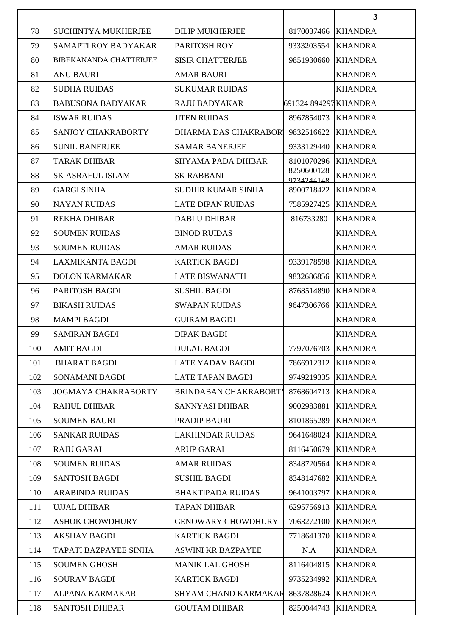|     |                               |                             |                          | $\overline{\mathbf{3}}$ |
|-----|-------------------------------|-----------------------------|--------------------------|-------------------------|
| 78  | SUCHINTYA MUKHERJEE           | <b>DILIP MUKHERJEE</b>      | 8170037466               | <b>KHANDRA</b>          |
| 79  | SAMAPTI ROY BADYAKAR          | PARITOSH ROY                | 9333203554               | <b>KHANDRA</b>          |
| 80  | <b>BIBEKANANDA CHATTERJEE</b> | <b>SISIR CHATTERJEE</b>     | 9851930660               | <b>KHANDRA</b>          |
| 81  | <b>ANU BAURI</b>              | <b>AMAR BAURI</b>           |                          | <b>KHANDRA</b>          |
| 82  | <b>SUDHA RUIDAS</b>           | <b>SUKUMAR RUIDAS</b>       |                          | <b>KHANDRA</b>          |
| 83  | <b>BABUSONA BADYAKAR</b>      | <b>RAJU BADYAKAR</b>        | 691324 894297 KHANDRA    |                         |
| 84  | <b>ISWAR RUIDAS</b>           | <b>JITEN RUIDAS</b>         | 8967854073               | <b>KHANDRA</b>          |
| 85  | <b>SANJOY CHAKRABORTY</b>     | DHARMA DAS CHAKRABOR        | 9832516622               | <b>KHANDRA</b>          |
| 86  | <b>SUNIL BANERJEE</b>         | <b>SAMAR BANERJEE</b>       | 9333129440               | <b>KHANDRA</b>          |
| 87  | <b>TARAK DHIBAR</b>           | SHYAMA PADA DHIBAR          | 8101070296               | <b>KHANDRA</b>          |
| 88  | <b>SK ASRAFUL ISLAM</b>       | <b>SK RABBANI</b>           | 8250600128<br>9734244148 | <b>KHANDRA</b>          |
| 89  | <b>GARGI SINHA</b>            | <b>SUDHIR KUMAR SINHA</b>   | 8900718422               | <b>KHANDRA</b>          |
| 90  | <b>NAYAN RUIDAS</b>           | <b>LATE DIPAN RUIDAS</b>    | 7585927425               | <b>KHANDRA</b>          |
| 91  | <b>REKHA DHIBAR</b>           | <b>DABLU DHIBAR</b>         | 816733280                | <b>KHANDRA</b>          |
| 92  | <b>SOUMEN RUIDAS</b>          | <b>BINOD RUIDAS</b>         |                          | <b>KHANDRA</b>          |
| 93  | <b>SOUMEN RUIDAS</b>          | <b>AMAR RUIDAS</b>          |                          | <b>KHANDRA</b>          |
| 94  | <b>LAXMIKANTA BAGDI</b>       | <b>KARTICK BAGDI</b>        | 9339178598               | <b>KHANDRA</b>          |
| 95  | <b>DOLON KARMAKAR</b>         | <b>LATE BISWANATH</b>       | 9832686856               | <b>KHANDRA</b>          |
| 96  | PARITOSH BAGDI                | <b>SUSHIL BAGDI</b>         | 8768514890               | <b>KHANDRA</b>          |
| 97  | <b>BIKASH RUIDAS</b>          | <b>SWAPAN RUIDAS</b>        | 9647306766               | <b>KHANDRA</b>          |
| 98  | <b>MAMPI BAGDI</b>            | <b>GUIRAM BAGDI</b>         |                          | <b>KHANDRA</b>          |
| 99  | <b>SAMIRAN BAGDI</b>          | <b>DIPAK BAGDI</b>          |                          | <b>KHANDRA</b>          |
| 100 | AMIT BAGDI                    | <b>DULAL BAGDI</b>          | 7797076703 KHANDRA       |                         |
| 101 | <b>BHARAT BAGDI</b>           | <b>LATE YADAV BAGDI</b>     | 7866912312               | <b>KHANDRA</b>          |
| 102 | SONAMANI BAGDI                | <b>LATE TAPAN BAGDI</b>     | 9749219335               | <b>KHANDRA</b>          |
| 103 | <b>JOGMAYA CHAKRABORTY</b>    | <b>BRINDABAN CHAKRABORT</b> | 8768604713               | <b>KHANDRA</b>          |
| 104 | <b>RAHUL DHIBAR</b>           | SANNYASI DHIBAR             | 9002983881               | <b>KHANDRA</b>          |
| 105 | <b>SOUMEN BAURI</b>           | PRADIP BAURI                | 8101865289               | <b>KHANDRA</b>          |
| 106 | <b>SANKAR RUIDAS</b>          | <b>LAKHINDAR RUIDAS</b>     | 9641648024               | <b>KHANDRA</b>          |
| 107 | <b>RAJU GARAI</b>             | <b>ARUP GARAI</b>           | 8116450679               | <b>KHANDRA</b>          |
| 108 | <b>SOUMEN RUIDAS</b>          | <b>AMAR RUIDAS</b>          | 8348720564               | <b>KHANDRA</b>          |
| 109 | <b>SANTOSH BAGDI</b>          | <b>SUSHIL BAGDI</b>         | 8348147682               | <b>KHANDRA</b>          |
| 110 | <b>ARABINDA RUIDAS</b>        | <b>BHAKTIPADA RUIDAS</b>    | 9641003797               | <b>KHANDRA</b>          |
| 111 | <b>UJJAL DHIBAR</b>           | <b>TAPAN DHIBAR</b>         | 6295756913               | <b>KHANDRA</b>          |
| 112 | <b>ASHOK CHOWDHURY</b>        | <b>GENOWARY CHOWDHURY</b>   | 7063272100               | <b>KHANDRA</b>          |
| 113 | AKSHAY BAGDI                  | <b>KARTICK BAGDI</b>        | 7718641370               | <b>KHANDRA</b>          |
| 114 | TAPATI BAZPAYEE SINHA         | <b>ASWINI KR BAZPAYEE</b>   | N.A                      | <b>KHANDRA</b>          |
| 115 | <b>SOUMEN GHOSH</b>           | <b>MANIK LAL GHOSH</b>      | 8116404815               | <b>KHANDRA</b>          |
| 116 | SOURAV BAGDI                  | <b>KARTICK BAGDI</b>        | 9735234992               | <b>KHANDRA</b>          |
| 117 | ALPANA KARMAKAR               | SHYAM CHAND KARMAKAR        | 8637828624               | <b>KHANDRA</b>          |
| 118 | <b>SANTOSH DHIBAR</b>         | <b>GOUTAM DHIBAR</b>        | 8250044743               | <b>KHANDRA</b>          |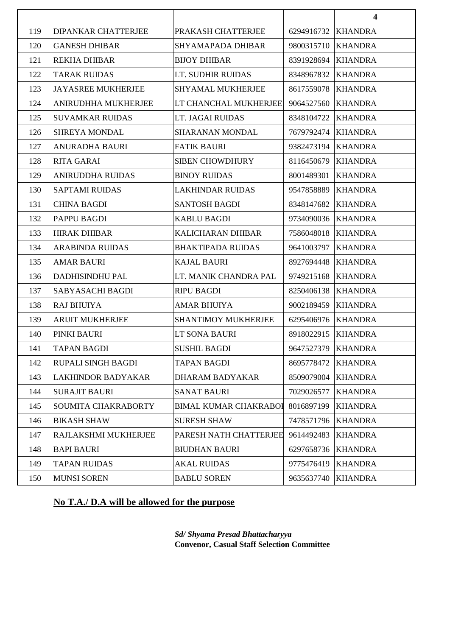|     |                            |                              |                    | $\overline{\mathbf{4}}$ |
|-----|----------------------------|------------------------------|--------------------|-------------------------|
| 119 | <b>DIPANKAR CHATTERJEE</b> | PRAKASH CHATTERJEE           | 6294916732         | <b>KHANDRA</b>          |
| 120 | <b>GANESH DHIBAR</b>       | SHYAMAPADA DHIBAR            | 9800315710         | <b>KHANDRA</b>          |
| 121 | <b>REKHA DHIBAR</b>        | <b>BIJOY DHIBAR</b>          | 8391928694         | <b>KHANDRA</b>          |
| 122 | <b>TARAK RUIDAS</b>        | LT. SUDHIR RUIDAS            | 8348967832         | <b>KHANDRA</b>          |
| 123 | <b>JAYASREE MUKHERJEE</b>  | SHYAMAL MUKHERJEE            | 8617559078         | <b>KHANDRA</b>          |
| 124 | ANIRUDHHA MUKHERJEE        | LT CHANCHAL MUKHERJEE        | 9064527560         | <b>KHANDRA</b>          |
| 125 | <b>SUVAMKAR RUIDAS</b>     | LT. JAGAI RUIDAS             | 8348104722         | <b>KHANDRA</b>          |
| 126 | SHREYA MONDAL              | SHARANAN MONDAL              | 7679792474         | <b>KHANDRA</b>          |
| 127 | <b>ANURADHA BAURI</b>      | <b>FATIK BAURI</b>           | 9382473194         | <b>KHANDRA</b>          |
| 128 | <b>RITA GARAI</b>          | <b>SIBEN CHOWDHURY</b>       | 8116450679         | <b>KHANDRA</b>          |
| 129 | <b>ANIRUDDHA RUIDAS</b>    | <b>BINOY RUIDAS</b>          | 8001489301         | <b>KHANDRA</b>          |
| 130 | <b>SAPTAMI RUIDAS</b>      | <b>LAKHINDAR RUIDAS</b>      | 9547858889         | <b>KHANDRA</b>          |
| 131 | <b>CHINA BAGDI</b>         | <b>SANTOSH BAGDI</b>         | 8348147682         | <b>KHANDRA</b>          |
| 132 | PAPPU BAGDI                | <b>KABLU BAGDI</b>           | 9734090036         | <b>KHANDRA</b>          |
| 133 | <b>HIRAK DHIBAR</b>        | KALICHARAN DHIBAR            | 7586048018         | <b>KHANDRA</b>          |
| 134 | <b>ARABINDA RUIDAS</b>     | <b>BHAKTIPADA RUIDAS</b>     | 9641003797         | <b>KHANDRA</b>          |
| 135 | <b>AMAR BAURI</b>          | <b>KAJAL BAURI</b>           | 8927694448         | <b>KHANDRA</b>          |
| 136 | DADHISINDHU PAL            | LT. MANIK CHANDRA PAL        | 9749215168         | <b>KHANDRA</b>          |
| 137 | SABYASACHI BAGDI           | <b>RIPU BAGDI</b>            | 8250406138         | <b>KHANDRA</b>          |
| 138 | <b>RAJ BHUIYA</b>          | <b>AMAR BHUIYA</b>           | 9002189459         | <b>KHANDRA</b>          |
| 139 | <b>ARIJIT MUKHERJEE</b>    | <b>SHANTIMOY MUKHERJEE</b>   | 6295406976         | <b>KHANDRA</b>          |
| 140 | PINKI BAURI                | LT SONA BAURI                | 8918022915         | <b>KHANDRA</b>          |
| 141 | <b>TAPAN BAGDI</b>         | <b>SUSHIL BAGDI</b>          | 9647527379 KHANDRA |                         |
| 142 | RUPALI SINGH BAGDI         | <b>TAPAN BAGDI</b>           | 8695778472         | <b>KHANDRA</b>          |
| 143 | LAKHINDOR BADYAKAR         | <b>DHARAM BADYAKAR</b>       | 8509079004         | <b>KHANDRA</b>          |
| 144 | <b>SURAJIT BAURI</b>       | <b>SANAT BAURI</b>           | 7029026577         | <b>KHANDRA</b>          |
| 145 | SOUMITA CHAKRABORTY        | <b>BIMAL KUMAR CHAKRABOI</b> | 8016897199         | <b>KHANDRA</b>          |
| 146 | <b>BIKASH SHAW</b>         | <b>SURESH SHAW</b>           | 7478571796         | <b>KHANDRA</b>          |
| 147 | RAJLAKSHMI MUKHERJEE       | PARESH NATH CHATTERJEE       | 9614492483         | <b>KHANDRA</b>          |
| 148 | <b>BAPI BAURI</b>          | <b>BIUDHAN BAURI</b>         | 6297658736         | <b>KHANDRA</b>          |
| 149 | <b>TAPAN RUIDAS</b>        | <b>AKAL RUIDAS</b>           | 9775476419         | <b>KHANDRA</b>          |
| 150 | <b>MUNSI SOREN</b>         | <b>BABLU SOREN</b>           | 9635637740         | <b>KHANDRA</b>          |

# **No T.A./ D.A will be allowed for the purpose**

*Sd/ Shyama Presad Bhattacharyya* **Convenor, Casual Staff Selection Committee**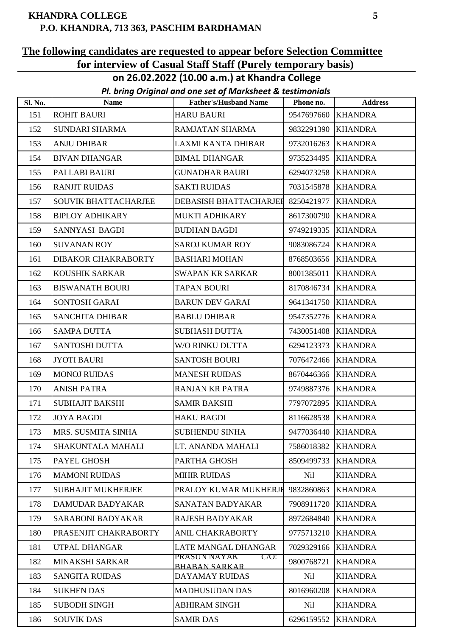### **EXHANDRA COLLEGE** 5 **P.O. KHANDRA, 713 363, PASCHIM BARDHAMAN**

### **The following candidates are requested to appear before Selection Committee for interview of Casual Staff Staff (Purely temporary basis)**

**on 26.02.2022 (10.00 a.m.) at Khandra College**

| Pl. bring Original and one set of Marksheet & testimonials |                           |                                                        |                    |                |
|------------------------------------------------------------|---------------------------|--------------------------------------------------------|--------------------|----------------|
| Sl. No.                                                    | <b>Name</b>               | <b>Father's/Husband Name</b>                           | Phone no.          | <b>Address</b> |
| 151                                                        | <b>ROHIT BAURI</b>        | <b>HARU BAURI</b>                                      | 9547697660         | <b>KHANDRA</b> |
| 152                                                        | SUNDARI SHARMA            | <b>RAMJATAN SHARMA</b>                                 | 9832291390         | <b>KHANDRA</b> |
| 153                                                        | <b>ANJU DHIBAR</b>        | LAXMI KANTA DHIBAR                                     | 9732016263         | <b>KHANDRA</b> |
| 154                                                        | <b>BIVAN DHANGAR</b>      | <b>BIMAL DHANGAR</b>                                   | 9735234495         | <b>KHANDRA</b> |
| 155                                                        | PALLABI BAURI             | <b>GUNADHAR BAURI</b>                                  | 6294073258         | <b>KHANDRA</b> |
| 156                                                        | <b>RANJIT RUIDAS</b>      | <b>SAKTI RUIDAS</b>                                    | 7031545878         | <b>KHANDRA</b> |
| 157                                                        | SOUVIK BHATTACHARJEE      | DEBASISH BHATTACHARJEI                                 | 8250421977         | <b>KHANDRA</b> |
| 158                                                        | <b>BIPLOY ADHIKARY</b>    | MUKTI ADHIKARY                                         | 8617300790         | <b>KHANDRA</b> |
| 159                                                        | SANNYASI BAGDI            | <b>BUDHAN BAGDI</b>                                    | 9749219335 KHANDRA |                |
| 160                                                        | <b>SUVANAN ROY</b>        | <b>SAROJ KUMAR ROY</b>                                 | 9083086724         | <b>KHANDRA</b> |
| 161                                                        | DIBAKOR CHAKRABORTY       | <b>BASHARI MOHAN</b>                                   | 8768503656         | <b>KHANDRA</b> |
| 162                                                        | KOUSHIK SARKAR            | <b>SWAPAN KR SARKAR</b>                                | 8001385011         | <b>KHANDRA</b> |
| 163                                                        | <b>BISWANATH BOURI</b>    | <b>TAPAN BOURI</b>                                     | 8170846734         | <b>KHANDRA</b> |
| 164                                                        | SONTOSH GARAI             | <b>BARUN DEV GARAI</b>                                 | 9641341750         | <b>KHANDRA</b> |
| 165                                                        | <b>SANCHITA DHIBAR</b>    | <b>BABLU DHIBAR</b>                                    | 9547352776         | <b>KHANDRA</b> |
| 166                                                        | <b>SAMPA DUTTA</b>        | <b>SUBHASH DUTTA</b>                                   | 7430051408         | <b>KHANDRA</b> |
| 167                                                        | SANTOSHI DUTTA            | W/O RINKU DUTTA                                        | 6294123373         | <b>KHANDRA</b> |
| 168                                                        | <b>JYOTI BAURI</b>        | <b>SANTOSH BOURI</b>                                   | 7076472466         | <b>KHANDRA</b> |
| 169                                                        | <b>MONOJ RUIDAS</b>       | <b>MANESH RUIDAS</b>                                   | 8670446366         | <b>KHANDRA</b> |
| 170                                                        | <b>ANISH PATRA</b>        | <b>RANJAN KR PATRA</b>                                 | 9749887376         | <b>KHANDRA</b> |
| 171                                                        | <b>SUBHAJIT BAKSHI</b>    | <b>SAMIR BAKSHI</b>                                    | 7797072895         | <b>KHANDRA</b> |
| 172                                                        | <b>JOYA BAGDI</b>         | <b>HAKU BAGDI</b>                                      | 8116628538 KHANDRA |                |
| 173                                                        | MRS. SUSMITA SINHA        | <b>SUBHENDU SINHA</b>                                  | 9477036440         | <b>KHANDRA</b> |
| 174                                                        | <b>SHAKUNTALA MAHALI</b>  | LT. ANANDA MAHALI                                      | 7586018382         | <b>KHANDRA</b> |
| 175                                                        | PAYEL GHOSH               | PARTHA GHOSH                                           | 8509499733         | <b>KHANDRA</b> |
| 176                                                        | <b>MAMONI RUIDAS</b>      | <b>MIHIR RUIDAS</b>                                    | Nil                | <b>KHANDRA</b> |
| 177                                                        | <b>SUBHAJIT MUKHERJEE</b> | PRALOY KUMAR MUKHERJI                                  | 9832860863         | <b>KHANDRA</b> |
| 178                                                        | DAMUDAR BADYAKAR          | <b>SANATAN BADYAKAR</b>                                | 7908911720         | <b>KHANDRA</b> |
| 179                                                        | SARABONI BADYAKAR         | <b>RAJESH BADYAKAR</b>                                 | 8972684840         | <b>KHANDRA</b> |
| 180                                                        | PRASENJIT CHAKRABORTY     | ANIL CHAKRABORTY                                       | 9775713210         | <b>KHANDRA</b> |
| 181                                                        | UTPAL DHANGAR             | LATE MANGAL DHANGAR                                    | 7029329166         | <b>KHANDRA</b> |
| 182                                                        | MINAKSHI SARKAR           | PRASUN NAYAK<br>$C/O$ :<br><b><i>RHARAN SARKAR</i></b> | 9800768721         | <b>KHANDRA</b> |
| 183                                                        | <b>SANGITA RUIDAS</b>     | DAYAMAY RUIDAS                                         | Nil                | <b>KHANDRA</b> |
| 184                                                        | <b>SUKHEN DAS</b>         | <b>MADHUSUDAN DAS</b>                                  | 8016960208         | <b>KHANDRA</b> |
| 185                                                        | <b>SUBODH SINGH</b>       | <b>ABHIRAM SINGH</b>                                   | Nil                | <b>KHANDRA</b> |
| 186                                                        | <b>SOUVIK DAS</b>         | <b>SAMIR DAS</b>                                       | 6296159552         | <b>KHANDRA</b> |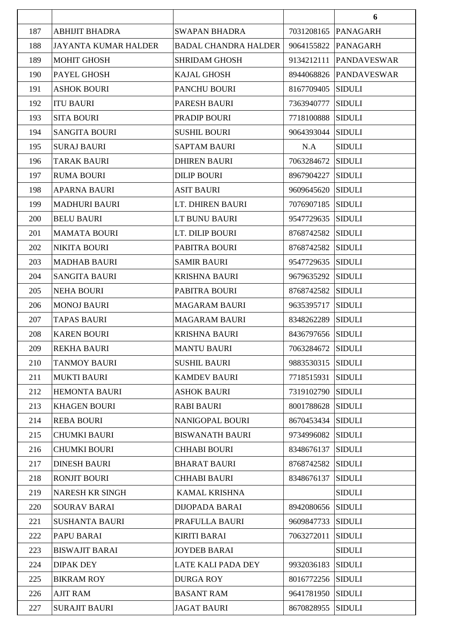|     |                             |                             |                   | 6                  |
|-----|-----------------------------|-----------------------------|-------------------|--------------------|
| 187 | <b>ABHIJIT BHADRA</b>       | <b>SWAPAN BHADRA</b>        | 7031208165        | <b>PANAGARH</b>    |
| 188 | <b>JAYANTA KUMAR HALDER</b> | <b>BADAL CHANDRA HALDER</b> | 9064155822        | <b>PANAGARH</b>    |
| 189 | <b>MOHIT GHOSH</b>          | <b>SHRIDAM GHOSH</b>        | 9134212111        | <b>PANDAVESWAR</b> |
| 190 | PAYEL GHOSH                 | <b>KAJAL GHOSH</b>          | 8944068826        | <b>PANDAVESWAR</b> |
| 191 | <b>ASHOK BOURI</b>          | PANCHU BOURI                | 8167709405        | <b>SIDULI</b>      |
| 192 | <b>ITU BAURI</b>            | PARESH BAURI                | 7363940777        | <b>SIDULI</b>      |
| 193 | <b>SITA BOURI</b>           | PRADIP BOURI                | 7718100888        | <b>SIDULI</b>      |
| 194 | <b>SANGITA BOURI</b>        | <b>SUSHIL BOURI</b>         | 9064393044        | <b>SIDULI</b>      |
| 195 | <b>SURAJ BAURI</b>          | <b>SAPTAM BAURI</b>         | N.A               | <b>SIDULI</b>      |
| 196 | <b>TARAK BAURI</b>          | <b>DHIREN BAURI</b>         | 7063284672        | <b>SIDULI</b>      |
| 197 | <b>RUMA BOURI</b>           | <b>DILIP BOURI</b>          | 8967904227        | <b>SIDULI</b>      |
| 198 | <b>APARNA BAURI</b>         | <b>ASIT BAURI</b>           | 9609645620        | <b>SIDULI</b>      |
| 199 | <b>MADHURI BAURI</b>        | LT. DHIREN BAURI            | 7076907185        | <b>SIDULI</b>      |
| 200 | <b>BELU BAURI</b>           | LT BUNU BAURI               | 9547729635        | <b>SIDULI</b>      |
| 201 | <b>MAMATA BOURI</b>         | LT. DILIP BOURI             | 8768742582        | <b>SIDULI</b>      |
| 202 | <b>NIKITA BOURI</b>         | PABITRA BOURI               | 8768742582        | <b>SIDULI</b>      |
| 203 | <b>MADHAB BAURI</b>         | <b>SAMIR BAURI</b>          | 9547729635        | <b>SIDULI</b>      |
| 204 | <b>SANGITA BAURI</b>        | <b>KRISHNA BAURI</b>        | 9679635292        | <b>SIDULI</b>      |
| 205 | <b>NEHA BOURI</b>           | PABITRA BOURI               | 8768742582        | <b>SIDULI</b>      |
| 206 | <b>MONOJ BAURI</b>          | <b>MAGARAM BAURI</b>        | 9635395717        | <b>SIDULI</b>      |
| 207 | <b>TAPAS BAURI</b>          | <b>MAGARAM BAURI</b>        | 8348262289        | <b>SIDULI</b>      |
| 208 | <b>KAREN BOURI</b>          | <b>KRISHNA BAURI</b>        | 8436797656 SIDULI |                    |
| 209 | <b>REKHA BAURI</b>          | <b>MANTU BAURI</b>          | 7063284672 SIDULI |                    |
| 210 | TANMOY BAURI                | <b>SUSHIL BAURI</b>         | 9883530315        | <b>SIDULI</b>      |
| 211 | <b>MUKTI BAURI</b>          | <b>KAMDEV BAURI</b>         | 7718515931        | <b>SIDULI</b>      |
| 212 | <b>HEMONTA BAURI</b>        | <b>ASHOK BAURI</b>          | 7319102790 SIDULI |                    |
| 213 | <b>KHAGEN BOURI</b>         | <b>RABI BAURI</b>           | 8001788628        | <b>SIDULI</b>      |
| 214 | <b>REBA BOURI</b>           | <b>NANIGOPAL BOURI</b>      | 8670453434        | <b>SIDULI</b>      |
| 215 | <b>CHUMKI BAURI</b>         | <b>BISWANATH BAURI</b>      | 9734996082        | <b>SIDULI</b>      |
| 216 | <b>CHUMKI BOURI</b>         | <b>CHHABI BOURI</b>         | 8348676137        | <b>SIDULI</b>      |
| 217 | <b>DINESH BAURI</b>         | <b>BHARAT BAURI</b>         | 8768742582        | <b>SIDULI</b>      |
| 218 | <b>RONJIT BOURI</b>         | <b>CHHABI BAURI</b>         | 8348676137        | <b>SIDULI</b>      |
| 219 | <b>NARESH KR SINGH</b>      | <b>KAMAL KRISHNA</b>        |                   | <b>SIDULI</b>      |
| 220 | <b>SOURAV BARAI</b>         | <b>DIJOPADA BARAI</b>       | 8942080656        | <b>SIDULI</b>      |
| 221 | <b>SUSHANTA BAURI</b>       | PRAFULLA BAURI              | 9609847733        | <b>SIDULI</b>      |
| 222 | PAPU BARAI                  | <b>KIRITI BARAI</b>         | 7063272011        | <b>SIDULI</b>      |
| 223 | <b>BISWAJIT BARAI</b>       | <b>JOYDEB BARAI</b>         |                   | <b>SIDULI</b>      |
| 224 | <b>DIPAK DEY</b>            | LATE KALI PADA DEY          | 9932036183        | <b>SIDULI</b>      |
| 225 | <b>BIKRAM ROY</b>           | <b>DURGA ROY</b>            | 8016772256 SIDULI |                    |
| 226 | <b>AJIT RAM</b>             | <b>BASANT RAM</b>           | 9641781950        | <b>SIDULI</b>      |
| 227 | <b>SURAJIT BAURI</b>        | <b>JAGAT BAURI</b>          | 8670828955        | <b>SIDULI</b>      |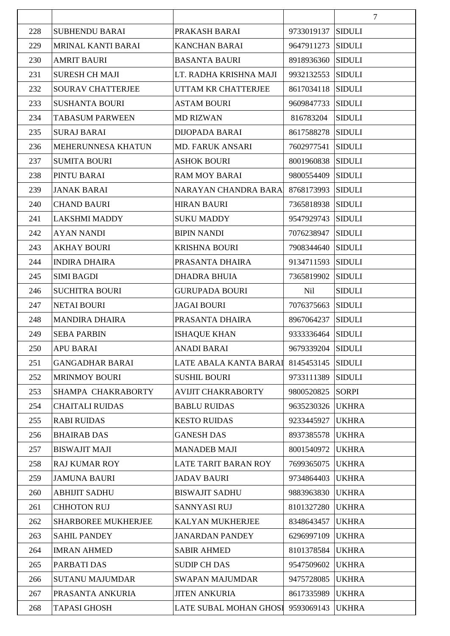|     |                          |                           |                   | $\overline{7}$ |
|-----|--------------------------|---------------------------|-------------------|----------------|
| 228 | <b>SUBHENDU BARAI</b>    | PRAKASH BARAI             | 9733019137        | <b>SIDULI</b>  |
| 229 | MRINAL KANTI BARAI       | <b>KANCHAN BARAI</b>      | 9647911273        | <b>SIDULI</b>  |
| 230 | <b>AMRIT BAURI</b>       | <b>BASANTA BAURI</b>      | 8918936360        | <b>SIDULI</b>  |
| 231 | <b>SURESH CH MAJI</b>    | LT. RADHA KRISHNA MAJI    | 9932132553        | <b>SIDULI</b>  |
| 232 | <b>SOURAV CHATTERJEE</b> | UTTAM KR CHATTERJEE       | 8617034118        | <b>SIDULI</b>  |
| 233 | <b>SUSHANTA BOURI</b>    | <b>ASTAM BOURI</b>        | 9609847733        | <b>SIDULI</b>  |
| 234 | <b>TABASUM PARWEEN</b>   | <b>MD RIZWAN</b>          | 816783204         | <b>SIDULI</b>  |
| 235 | <b>SURAJ BARAI</b>       | <b>DIJOPADA BARAI</b>     | 8617588278        | <b>SIDULI</b>  |
| 236 | MEHERUNNESA KHATUN       | MD. FARUK ANSARI          | 7602977541        | <b>SIDULI</b>  |
| 237 | <b>SUMITA BOURI</b>      | <b>ASHOK BOURI</b>        | 8001960838        | <b>SIDULI</b>  |
| 238 | PINTU BARAI              | <b>RAM MOY BARAI</b>      | 9800554409        | <b>SIDULI</b>  |
| 239 | <b>JANAK BARAI</b>       | NARAYAN CHANDRA BARA      | 8768173993        | <b>SIDULI</b>  |
| 240 | <b>CHAND BAURI</b>       | <b>HIRAN BAURI</b>        | 7365818938        | <b>SIDULI</b>  |
| 241 | <b>LAKSHMI MADDY</b>     | <b>SUKU MADDY</b>         | 9547929743        | <b>SIDULI</b>  |
| 242 | <b>AYAN NANDI</b>        | <b>BIPIN NANDI</b>        | 7076238947        | <b>SIDULI</b>  |
| 243 | <b>AKHAY BOURI</b>       | <b>KRISHNA BOURI</b>      | 7908344640        | <b>SIDULI</b>  |
| 244 | <b>INDIRA DHAIRA</b>     | PRASANTA DHAIRA           | 9134711593        | <b>SIDULI</b>  |
| 245 | <b>SIMI BAGDI</b>        | <b>DHADRA BHUIA</b>       | 7365819902        | <b>SIDULI</b>  |
| 246 | <b>SUCHITRA BOURI</b>    | <b>GURUPADA BOURI</b>     | Nil               | <b>SIDULI</b>  |
| 247 | <b>NETAI BOURI</b>       | <b>JAGAI BOURI</b>        | 7076375663        | <b>SIDULI</b>  |
| 248 | <b>MANDIRA DHAIRA</b>    | PRASANTA DHAIRA           | 8967064237        | <b>SIDULI</b>  |
| 249 | <b>SEBA PARBIN</b>       | <b>ISHAQUE KHAN</b>       | 9333336464        | <b>SIDULI</b>  |
| 250 | APU BARAI                | ANADI BARAI               | 9679339204 SIDULI |                |
| 251 | <b>GANGADHAR BARAI</b>   | LATE ABALA KANTA BARAI    | 8145453145        | <b>SIDULI</b>  |
| 252 | <b>MRINMOY BOURI</b>     | <b>SUSHIL BOURI</b>       | 9733111389        | <b>SIDULI</b>  |
| 253 | SHAMPA CHAKRABORTY       | <b>AVIJIT CHAKRABORTY</b> | 9800520825        | <b>SORPI</b>   |
| 254 | <b>CHAITALI RUIDAS</b>   | <b>BABLU RUIDAS</b>       | 9635230326        | <b>UKHRA</b>   |
| 255 | <b>RABI RUIDAS</b>       | <b>KESTO RUIDAS</b>       | 9233445927        | <b>UKHRA</b>   |
| 256 | <b>BHAIRAB DAS</b>       | <b>GANESH DAS</b>         | 8937385578        | <b>UKHRA</b>   |
| 257 | <b>BISWAJIT MAJI</b>     | <b>MANADEB MAJI</b>       | 8001540972        | <b>UKHRA</b>   |
| 258 | <b>RAJ KUMAR ROY</b>     | LATE TARIT BARAN ROY      | 7699365075        | <b>UKHRA</b>   |
| 259 | <b>JAMUNA BAURI</b>      | <b>JADAV BAURI</b>        | 9734864403        | <b>UKHRA</b>   |
| 260 | <b>ABHIJIT SADHU</b>     | <b>BISWAJIT SADHU</b>     | 9883963830        | <b>UKHRA</b>   |
| 261 | <b>CHHOTON RUJ</b>       | SANNYASI RUJ              | 8101327280        | <b>UKHRA</b>   |
| 262 | SHARBOREE MUKHERJEE      | KALYAN MUKHERJEE          | 8348643457        | <b>UKHRA</b>   |
| 263 | <b>SAHIL PANDEY</b>      | <b>JANARDAN PANDEY</b>    | 6296997109        | <b>UKHRA</b>   |
| 264 | <b>IMRAN AHMED</b>       | <b>SABIR AHMED</b>        | 8101378584        | <b>UKHRA</b>   |
| 265 | PARBATI DAS              | <b>SUDIP CH DAS</b>       | 9547509602        | <b>UKHRA</b>   |
| 266 | <b>SUTANU MAJUMDAR</b>   | <b>SWAPAN MAJUMDAR</b>    | 9475728085        | <b>UKHRA</b>   |
| 267 | PRASANTA ANKURIA         | <b>JITEN ANKURIA</b>      | 8617335989        | <b>UKHRA</b>   |
| 268 | <b>TAPASI GHOSH</b>      | LATE SUBAL MOHAN GHOSI    | 9593069143        | <b>UKHRA</b>   |